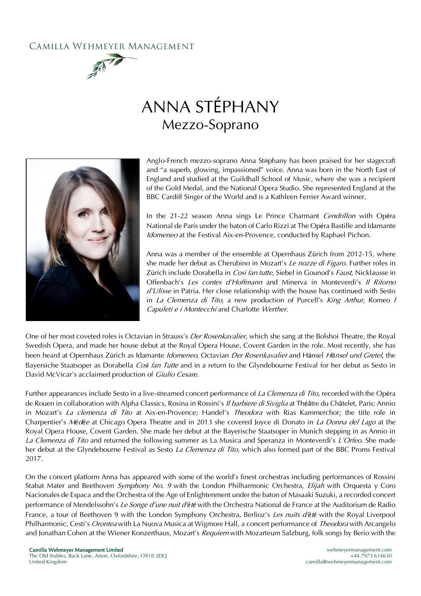## CAMILLA WEHMEYER MANAGEMENT





Anglo-French mezzo-soprano Anna Stŭphany has been praised for her stagecraft and "a superb, glowing, impassioned" voice. Anna was born in the North East of England and studied at the Guildhall School of Music, where she was a recipient of the Gold Medal, and the National Opera Studio. She represented England at the BBC Cardiff Singer of the World and is a Kathleen Ferrier Award winner.

In the 21-22 season Anna sings Le Prince Charmant Cendrillon with Opéra National de Paris under the baton of Carlo Rizzi at The Opéra Bastille and Idamante Idomeneo at the Festival Aix-en-Provence, conducted by Raphael Pichon.

Anna was a member of the ensemble at Opernhaus Zürich from 2012-15, where she made her debut as Cherubino in Mozart's Le nozze di Figaro. Further roles in Zürich include Dorabella in Cosi fan tutte, Siebel in Gounod's Faust, Nicklausse in Offenbach's Les contes d'Hoffmann and Minerva in Monteverdi's Il Ritorno  $d'U$ lisse in Patria. Her close relationship with the house has continued with Sesto in La Clemenza di Tito, a new production of Purcell's King Arthur, Romeo I Capuleti e i Montecchi and Charlotte Werther.

One of her most coveted roles is Octavian in Strauss's Der Rosenkavalier, which she sang at the Bolshoi Theatre, the Royal Swedish Opera, and made her house debut at the Royal Opera House, Covent Garden in the role. Most recently, she has been heard at Opernhaus Zürich as Idamante Idomeneo, Octavian Der Rosenkavalier and Hänsel H*ä*nsel und Gretel, the Bayersiche Staatsoper as Dorabella Cos*ì* fan Tutte and in a return to the Glyndebourne Festival for her debut as Sesto in David McVicar's acclaimed production of Giulio Cesare.

Further appearances include Sesto in a live-streamed concert performance of La Clemenza di Tito, recorded with the Opéra de Rouen in collaboration with Alpha Classics, Rosina in Rossini's *Il barbiere di Siviglia* at Théâtre du Châtelet, Paris; Annio in Mozart's La clemenza di Tito at Aix-en-Provence; Handel's Theodora with Rias Kammerchor; the title role in Charpentier's M*é*d*é*<sup>e</sup> at Chicago Opera Theatre and in 2013 she covered Joyce di Donato in La Donna del Lago at the Royal Opera House, Covent Garden. She made her debut at the Bayerische Staatsoper in Munich stepping in as Annio in La Clemenza di Tito and returned the following summer as La Musica and Speranza in Monteverdi's L'Orfeo. She made her debut at the Glyndebourne Festival as Sesto La Clemenza di Tito, which also formed part of the BBC Proms Festival 2017.

On the concert platform Anna has appeared with some of the world's finest orchestras including performances of Rossini Stabat Mater and Beethoven Symphony No. 9 with the London Philharmonic Orchestra, Elijah with Orquesta y Coro Nacionales de Espaca and the Orchestra of the Age of Enlightenment under the baton of Masaaki Suzuki, a recorded concert performance of Mendelssohn's Le Songe d'une nuit d'*é*t*é* with the Orchestra National de France at the Auditorium de Radio France, a tour of Beethoven 9 with the London Symphony Orchestra, Berlioz's Les nuits d'*é*t*é* with the Royal Liverpool Philharmonic, Cesti's *Orontea* with La Nuova Musica at Wigmore Hall, a concert performance of *Theodora* with Arcangelo and Jonathan Cohen at the Wiener Konzerthaus, Mozart's Requiem with Mozarteum Salzburg, folk songs by Berio with the